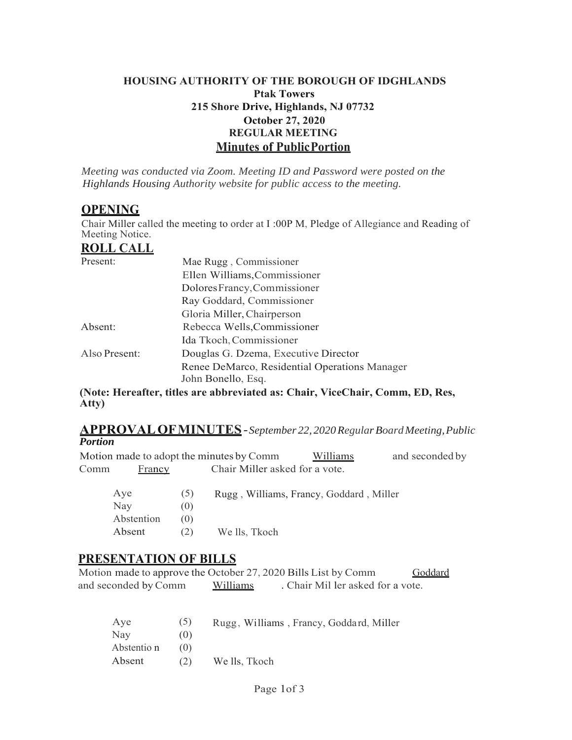#### **HOUSING AUTHORITY OF THE BOROUGH OF IDGHLANDS Ptak Towers 215 Shore Drive, Highlands, NJ 07732 October 27, 2020 REGULAR MEETING Minutes of Public Portion**

*Meeting was conducted via Zoom. Meeting ID and Password were posted on the Highlands Housing Authority website for public access to the meeting.*

### **OPENING**

Chair Miller called the meeting to order at I :00P M, Pledge of Allegiance and Reading of Meeting Notice.

### **ROLL CALL**

| Present:      | Mae Rugg, Commissioner                                              |  |
|---------------|---------------------------------------------------------------------|--|
|               | Ellen Williams, Commissioner                                        |  |
|               | Dolores Francy, Commissioner                                        |  |
|               | Ray Goddard, Commissioner                                           |  |
|               | Gloria Miller, Chairperson                                          |  |
| Absent:       | Rebecca Wells, Commissioner                                         |  |
|               | Ida Tkoch, Commissioner                                             |  |
| Also Present: | Douglas G. Dzema, Executive Director                                |  |
|               | Renee DeMarco, Residential Operations Manager<br>John Bonello, Esq. |  |

**(Note: Hereafter, titles are abbreviated as: Chair, ViceChair, Comm, ED, Res, Atty)**

#### **APPROVAL OF MINUTES** - *September 22, 2020 Regular Board Meeting, Public Portion*

|      |                          |                   | Motion made to adopt the minutes by Comm | Williams | and seconded by |
|------|--------------------------|-------------------|------------------------------------------|----------|-----------------|
| Comm | Francy                   |                   | Chair Miller asked for a vote.           |          |                 |
|      | Aye<br>Nay<br>Abstention | (5)<br>(0)<br>(0) | Rugg, Williams, Francy, Goddard, Miller  |          |                 |
|      | Absent                   | (2)               | We lls, Tkoch                            |          |                 |

# **PRESENTATION OF BILLS**

Motion made to approve the October 27, 2020 Bills List by Comm Goddard and seconded by Comm Williams . Chair Mil ler asked for a vote.

| Aye         | (5) | Rugg, Williams, Francy, Goddard, Miller |
|-------------|-----|-----------------------------------------|
| Nay         | (0) |                                         |
| Abstentio n | (0) |                                         |
| Absent      | (2) | We lls, Tkoch                           |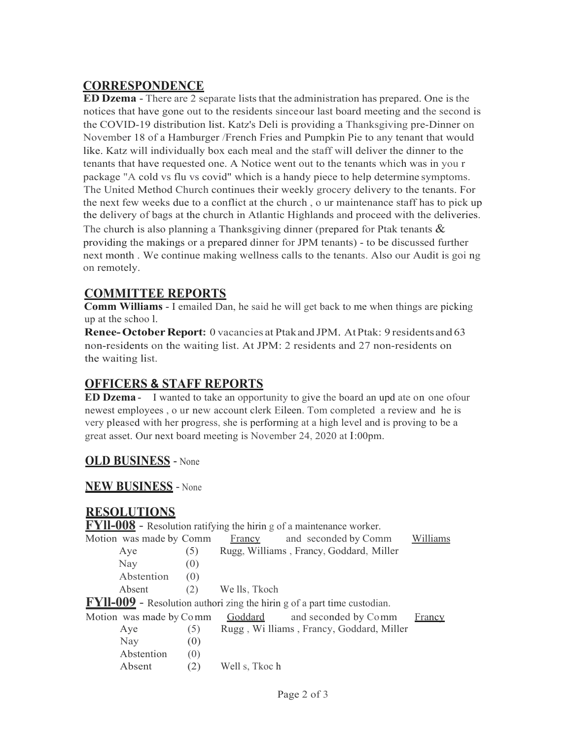## **CORRESPONDENCE**

**ED Dzema** - There are 2 separate lists that the administration has prepared. One is the notices that have gone out to the residents since our last board meeting and the second is the COVID-19 distribution list. Katz's Deli is providing a Thanksgiving pre-Dinner on November 18 of a Hamburger /French Fries and Pumpkin Pie to any tenant that would like. Katz will individually box each meal and the staff will deliver the dinner to the tenants that have requested one. A Notice went out to the tenants which was in you r package "A cold vs flu vs covid" which is a handy piece to help determine symptoms. The United Method Church continues their weekly grocery delivery to the tenants. For the next few weeks due to a conflict at the church , o ur maintenance staff has to pick up the delivery of bags at the church in Atlantic Highlands and proceed with the deliveries. The church is also planning a Thanksgiving dinner (prepared for Ptak tenants  $\&$ providing the makings or a prepared dinner for JPM tenants) - to be discussed further next month . We continue making wellness calls to the tenants. Also our Audit is goi ng on remotely.

# **COMMITTEE REPORTS**

**Comm Williams** - I emailed Dan, he said he will get back to me when things are picking up at the schoo l.

**Renee- October Report:** 0 vacancies at Ptak and JPM. At Ptak: 9 residents and 63 non-residents on the waiting list. At JPM: 2 residents and 27 non-residents on the waiting list.

# **OFFICERS & STAFF REPORTS**

**ED Dzema** - I wanted to take an opportunity to give the board an upd ate on one ofour newest employees , o ur new account clerk Eileen. Tom completed a review and he is very pleased with her progress, she is performing at a high level and is proving to be a great asset. Our next board meeting is November 24, 2020 at I :00pm.

#### **OLD BUSINESS** - None

#### **NEW BUSINESS** - None

#### **RESOLUTIONS**

**FYll-008** - Resolution ratifying the hirin g of a maintenance worker. Motion was made by Comm Francy and seconded by Comm Williams Aye (5) Rugg, Williams , Francy, Goddard, Miller Nay  $(0)$ Abstention (0) Absent (2) We lls, Tkoch **FYll-009** - Resolution authori zing the hirin g of a part time custodian. Motion was made by Comm Goddard and seconded by Comm Francy Aye (5) Rugg , Wi lliams , Francy, Goddard, Miller  $\text{Nay}$  (0) Abstention (0) Absent (2) Well s, Tkoc h